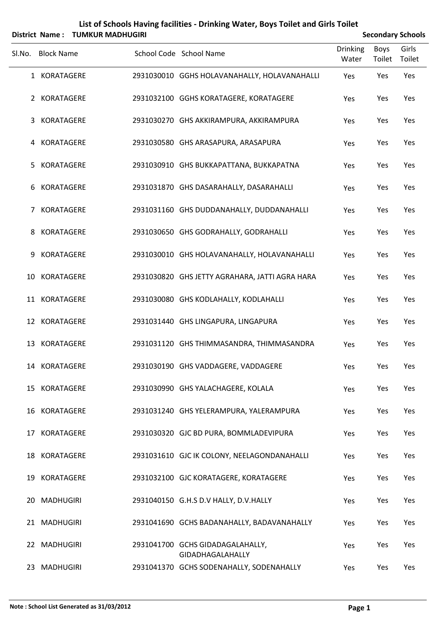| District Name: TUMKUR MADHUGIRI |                   |  | <b>Secondary Schools</b>                             |                   |                |                 |
|---------------------------------|-------------------|--|------------------------------------------------------|-------------------|----------------|-----------------|
| SI.No.                          | <b>Block Name</b> |  | School Code School Name                              | Drinking<br>Water | Boys<br>Toilet | Girls<br>Toilet |
|                                 | 1 KORATAGERE      |  | 2931030010 GGHS HOLAVANAHALLY, HOLAVANAHALLI         | Yes               | Yes            | Yes             |
|                                 | 2 KORATAGERE      |  | 2931032100 GGHS KORATAGERE, KORATAGERE               | Yes               | Yes            | Yes             |
| 3                               | <b>KORATAGERE</b> |  | 2931030270 GHS AKKIRAMPURA, AKKIRAMPURA              | Yes               | Yes            | Yes             |
| 4                               | KORATAGERE        |  | 2931030580 GHS ARASAPURA, ARASAPURA                  | Yes               | Yes            | Yes             |
| 5.                              | KORATAGERE        |  | 2931030910 GHS BUKKAPATTANA, BUKKAPATNA              | Yes               | Yes            | Yes             |
| 6                               | KORATAGERE        |  | 2931031870 GHS DASARAHALLY, DASARAHALLI              | Yes               | Yes            | Yes             |
| 7                               | KORATAGERE        |  | 2931031160 GHS DUDDANAHALLY, DUDDANAHALLI            | Yes               | Yes            | Yes             |
| 8                               | KORATAGERE        |  | 2931030650 GHS GODRAHALLY, GODRAHALLI                | Yes               | Yes            | Yes             |
| 9                               | <b>KORATAGERE</b> |  | 2931030010 GHS HOLAVANAHALLY, HOLAVANAHALLI          | Yes               | Yes            | Yes             |
|                                 | 10 KORATAGERE     |  | 2931030820 GHS JETTY AGRAHARA, JATTI AGRA HARA       | Yes               | Yes            | Yes             |
|                                 | 11 KORATAGERE     |  | 2931030080 GHS KODLAHALLY, KODLAHALLI                | Yes               | Yes            | Yes             |
|                                 | 12 KORATAGERE     |  | 2931031440 GHS LINGAPURA, LINGAPURA                  | Yes               | Yes            | Yes             |
| 13                              | KORATAGERE        |  | 2931031120 GHS THIMMASANDRA, THIMMASANDRA            | Yes               | Yes            | Yes             |
|                                 | 14 KORATAGERE     |  | 2931030190 GHS VADDAGERE, VADDAGERE                  | Yes               | Yes            | Yes             |
|                                 | 15 KORATAGERE     |  | 2931030990 GHS YALACHAGERE, KOLALA                   | Yes               | Yes            | Yes             |
|                                 | 16 KORATAGERE     |  | 2931031240 GHS YELERAMPURA, YALERAMPURA              | Yes               | Yes            | Yes             |
|                                 | 17 KORATAGERE     |  | 2931030320 GJC BD PURA, BOMMLADEVIPURA               | Yes               | Yes            | Yes             |
|                                 | 18 KORATAGERE     |  | 2931031610 GJC IK COLONY, NEELAGONDANAHALLI          | Yes               | Yes            | Yes             |
|                                 | 19 KORATAGERE     |  | 2931032100 GJC KORATAGERE, KORATAGERE                | Yes               | Yes            | Yes             |
| 20.                             | MADHUGIRI         |  | 2931040150 G.H.S D.V HALLY, D.V.HALLY                | Yes               | Yes            | Yes             |
|                                 | 21 MADHUGIRI      |  | 2931041690 GCHS BADANAHALLY, BADAVANAHALLY           | Yes               | Yes            | Yes             |
|                                 | 22 MADHUGIRI      |  | 2931041700 GCHS GIDADAGALAHALLY,<br>GIDADHAGALAHALLY | Yes               | Yes            | Yes             |
|                                 | 23 MADHUGIRI      |  | 2931041370 GCHS SODENAHALLY, SODENAHALLY             | Yes               | Yes            | Yes             |

## **List of Schools Having facilities ‐ Drinking Water, Boys Toilet and Girls Toilet**

L,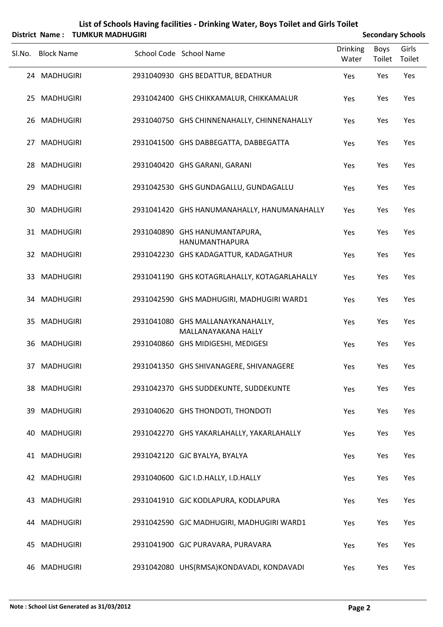|     |                   | District Name: TUMKUR MADHUGIRI |                                                          |                          |                | <b>Secondary Schools</b> |
|-----|-------------------|---------------------------------|----------------------------------------------------------|--------------------------|----------------|--------------------------|
|     | Sl.No. Block Name |                                 | School Code School Name                                  | <b>Drinking</b><br>Water | Boys<br>Toilet | Girls<br>Toilet          |
|     | 24 MADHUGIRI      |                                 | 2931040930 GHS BEDATTUR, BEDATHUR                        | Yes                      | Yes            | Yes                      |
|     | 25 MADHUGIRI      |                                 | 2931042400 GHS CHIKKAMALUR, CHIKKAMALUR                  | Yes                      | Yes            | Yes                      |
|     | 26 MADHUGIRI      |                                 | 2931040750 GHS CHINNENAHALLY, CHINNENAHALLY              | Yes                      | Yes            | Yes                      |
| 27  | <b>MADHUGIRI</b>  |                                 | 2931041500 GHS DABBEGATTA, DABBEGATTA                    | Yes                      | Yes            | Yes                      |
|     | 28 MADHUGIRI      |                                 | 2931040420 GHS GARANI, GARANI                            | Yes                      | Yes            | Yes                      |
|     | 29 MADHUGIRI      |                                 | 2931042530 GHS GUNDAGALLU, GUNDAGALLU                    | Yes                      | Yes            | Yes                      |
| 30  | <b>MADHUGIRI</b>  |                                 | 2931041420 GHS HANUMANAHALLY, HANUMANAHALLY              | Yes                      | Yes            | Yes                      |
|     | 31 MADHUGIRI      |                                 | 2931040890 GHS HANUMANTAPURA,<br><b>HANUMANTHAPURA</b>   | Yes                      | Yes            | Yes                      |
|     | 32 MADHUGIRI      |                                 | 2931042230 GHS KADAGATTUR, KADAGATHUR                    | Yes                      | Yes            | Yes                      |
|     | 33 MADHUGIRI      |                                 | 2931041190 GHS KOTAGRLAHALLY, KOTAGARLAHALLY             | Yes                      | Yes            | Yes                      |
|     | 34 MADHUGIRI      |                                 | 2931042590 GHS MADHUGIRI, MADHUGIRI WARD1                | Yes                      | Yes            | Yes                      |
|     | 35 MADHUGIRI      |                                 | 2931041080 GHS MALLANAYKANAHALLY,<br>MALLANAYAKANA HALLY | Yes                      | Yes            | Yes                      |
| 36  | <b>MADHUGIRI</b>  |                                 | 2931040860 GHS MIDIGESHI, MEDIGESI                       | Yes                      | Yes            | Yes                      |
|     | 37 MADHUGIRI      |                                 | 2931041350 GHS SHIVANAGERE, SHIVANAGERE                  | Yes                      | Yes            | Yes                      |
|     | 38 MADHUGIRI      |                                 | 2931042370 GHS SUDDEKUNTE, SUDDEKUNTE                    | Yes                      | Yes            | Yes                      |
| 39  | <b>MADHUGIRI</b>  |                                 | 2931040620 GHS THONDOTI, THONDOTI                        | Yes                      | Yes            | Yes                      |
| 40. | <b>MADHUGIRI</b>  |                                 | 2931042270 GHS YAKARLAHALLY, YAKARLAHALLY                | Yes                      | Yes            | Yes                      |
|     | 41 MADHUGIRI      |                                 | 2931042120 GJC BYALYA, BYALYA                            | Yes                      | Yes            | Yes                      |
|     | 42 MADHUGIRI      |                                 | 2931040600 GJC I.D.HALLY, I.D.HALLY                      | Yes                      | Yes            | Yes                      |
| 43. | <b>MADHUGIRI</b>  |                                 | 2931041910 GJC KODLAPURA, KODLAPURA                      | Yes                      | Yes            | Yes                      |
| 44  | <b>MADHUGIRI</b>  |                                 | 2931042590 GJC MADHUGIRI, MADHUGIRI WARD1                | Yes                      | Yes            | Yes                      |
| 45  | <b>MADHUGIRI</b>  |                                 | 2931041900 GJC PURAVARA, PURAVARA                        | Yes                      | Yes            | Yes                      |
|     | 46 MADHUGIRI      |                                 | 2931042080 UHS(RMSA)KONDAVADI, KONDAVADI                 | Yes                      | Yes            | Yes                      |

## **List of Schools Having facilities ‐ Drinking Water, Boys Toilet and Girls Toilet**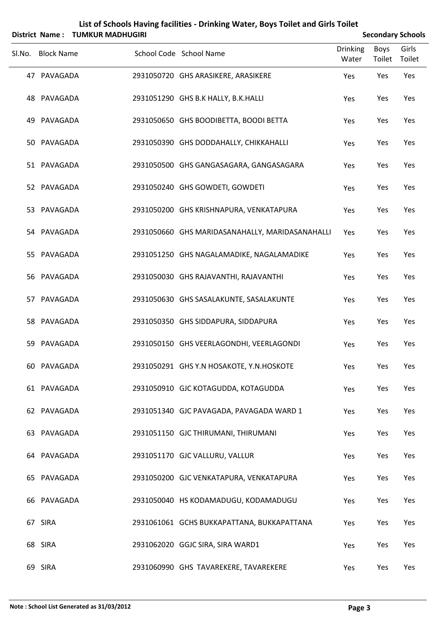|        |                   | District Name: TUMKUR MADHUGIRI |                                                 |                          |                | <b>Secondary Schools</b> |
|--------|-------------------|---------------------------------|-------------------------------------------------|--------------------------|----------------|--------------------------|
| Sl.No. | <b>Block Name</b> |                                 | School Code School Name                         | <b>Drinking</b><br>Water | Boys<br>Toilet | Girls<br>Toilet          |
|        | 47 PAVAGADA       |                                 | 2931050720 GHS ARASIKERE, ARASIKERE             | Yes                      | Yes            | Yes                      |
|        | 48 PAVAGADA       |                                 | 2931051290 GHS B.K HALLY, B.K.HALLI             | Yes                      | Yes            | Yes                      |
| 49     | PAVAGADA          |                                 | 2931050650 GHS BOODIBETTA, BOODI BETTA          | Yes                      | Yes            | Yes                      |
|        | 50 PAVAGADA       |                                 | 2931050390 GHS DODDAHALLY, CHIKKAHALLI          | Yes                      | Yes            | Yes                      |
|        | 51 PAVAGADA       |                                 | 2931050500 GHS GANGASAGARA, GANGASAGARA         | Yes                      | Yes            | Yes                      |
|        | 52 PAVAGADA       |                                 | 2931050240 GHS GOWDETI, GOWDETI                 | Yes                      | Yes            | Yes                      |
|        | 53 PAVAGADA       |                                 | 2931050200 GHS KRISHNAPURA, VENKATAPURA         | Yes                      | Yes            | Yes                      |
|        | 54 PAVAGADA       |                                 | 2931050660 GHS MARIDASANAHALLY, MARIDASANAHALLI | Yes                      | Yes            | Yes                      |
|        | 55 PAVAGADA       |                                 | 2931051250 GHS NAGALAMADIKE, NAGALAMADIKE       | Yes                      | Yes            | Yes                      |
|        | 56 PAVAGADA       |                                 | 2931050030 GHS RAJAVANTHI, RAJAVANTHI           | Yes                      | Yes            | Yes                      |
|        | 57 PAVAGADA       |                                 | 2931050630 GHS SASALAKUNTE, SASALAKUNTE         | Yes                      | Yes            | Yes                      |
|        | 58 PAVAGADA       |                                 | 2931050350 GHS SIDDAPURA, SIDDAPURA             | Yes                      | Yes            | Yes                      |
| 59     | PAVAGADA          |                                 | 2931050150 GHS VEERLAGONDHI, VEERLAGONDI        | Yes                      | Yes            | Yes                      |
|        | 60 PAVAGADA       |                                 | 2931050291 GHS Y.N HOSAKOTE, Y.N.HOSKOTE        | Yes                      | Yes            | Yes                      |
|        | 61 PAVAGADA       |                                 | 2931050910 GJC KOTAGUDDA, KOTAGUDDA             | Yes                      | Yes            | Yes                      |
|        | 62 PAVAGADA       |                                 | 2931051340 GJC PAVAGADA, PAVAGADA WARD 1        | Yes                      | Yes            | Yes                      |
|        | 63 PAVAGADA       |                                 | 2931051150 GJC THIRUMANI, THIRUMANI             | Yes                      | Yes            | Yes                      |
|        | 64 PAVAGADA       |                                 | 2931051170 GJC VALLURU, VALLUR                  | Yes                      | Yes            | Yes                      |
|        | 65 PAVAGADA       |                                 | 2931050200 GJC VENKATAPURA, VENKATAPURA         | Yes                      | Yes            | Yes                      |
|        | 66 PAVAGADA       |                                 | 2931050040 HS KODAMADUGU, KODAMADUGU            | Yes                      | Yes            | Yes                      |
|        | 67 SIRA           |                                 | 2931061061 GCHS BUKKAPATTANA, BUKKAPATTANA      | Yes                      | Yes            | Yes                      |
|        | 68 SIRA           |                                 | 2931062020 GGJC SIRA, SIRA WARD1                | Yes                      | Yes            | Yes                      |
|        | 69 SIRA           |                                 | 2931060990 GHS TAVAREKERE, TAVAREKERE           | Yes                      | Yes            | Yes                      |

## **List of Schools Having facilities ‐ Drinking Water, Boys Toilet and Girls Toilet**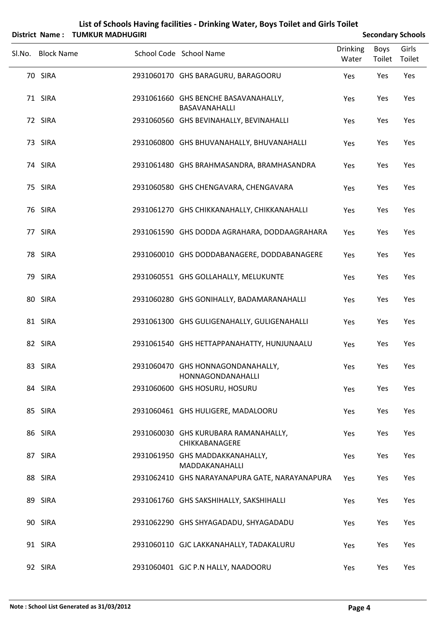|                   | District Name: TUMKUR MADHUGIRI |                                                        |                          |                | <b>Secondary Schools</b> |
|-------------------|---------------------------------|--------------------------------------------------------|--------------------------|----------------|--------------------------|
| Sl.No. Block Name |                                 | School Code School Name                                | <b>Drinking</b><br>Water | Boys<br>Toilet | Girls<br>Toilet          |
| 70 SIRA           |                                 | 2931060170 GHS BARAGURU, BARAGOORU                     | Yes                      | Yes            | Yes                      |
| 71 SIRA           |                                 | 2931061660 GHS BENCHE BASAVANAHALLY,<br>BASAVANAHALLI  | Yes                      | Yes            | Yes                      |
| 72 SIRA           |                                 | 2931060560 GHS BEVINAHALLY, BEVINAHALLI                | Yes                      | Yes            | Yes                      |
| 73 SIRA           |                                 | 2931060800 GHS BHUVANAHALLY, BHUVANAHALLI              | Yes                      | Yes            | Yes                      |
| 74 SIRA           |                                 | 2931061480 GHS BRAHMASANDRA, BRAMHASANDRA              | Yes                      | Yes            | Yes                      |
| 75 SIRA           |                                 | 2931060580 GHS CHENGAVARA, CHENGAVARA                  | Yes                      | Yes            | Yes                      |
| 76 SIRA           |                                 | 2931061270 GHS CHIKKANAHALLY, CHIKKANAHALLI            | Yes                      | Yes            | Yes                      |
| 77 SIRA           |                                 | 2931061590 GHS DODDA AGRAHARA, DODDAAGRAHARA           | Yes                      | Yes            | Yes                      |
| 78 SIRA           |                                 | 2931060010 GHS DODDABANAGERE, DODDABANAGERE            | Yes                      | Yes            | Yes                      |
| 79 SIRA           |                                 | 2931060551 GHS GOLLAHALLY, MELUKUNTE                   | Yes                      | Yes            | Yes                      |
| 80 SIRA           |                                 | 2931060280 GHS GONIHALLY, BADAMARANAHALLI              | Yes                      | Yes            | Yes                      |
| 81 SIRA           |                                 | 2931061300 GHS GULIGENAHALLY, GULIGENAHALLI            | Yes                      | Yes            | Yes                      |
| 82 SIRA           |                                 | 2931061540 GHS HETTAPPANAHATTY, HUNJUNAALU             | Yes                      | Yes            | Yes                      |
| 83 SIRA           |                                 | 2931060470 GHS HONNAGONDANAHALLY,<br>HONNAGONDANAHALLI | Yes                      | Yes            | Yes                      |
| 84 SIRA           |                                 | 2931060600 GHS HOSURU, HOSURU                          | Yes                      | Yes            | Yes                      |
| 85 SIRA           |                                 | 2931060461 GHS HULIGERE, MADALOORU                     | Yes                      | Yes            | Yes                      |
| 86 SIRA           |                                 | 2931060030 GHS KURUBARA RAMANAHALLY,<br>CHIKKABANAGERE | Yes                      | Yes            | Yes                      |
| 87 SIRA           |                                 | 2931061950 GHS MADDAKKANAHALLY,<br>MADDAKANAHALLI      | Yes                      | Yes            | Yes                      |
| 88 SIRA           |                                 | 2931062410 GHS NARAYANAPURA GATE, NARAYANAPURA         | Yes                      | Yes            | Yes                      |
| 89 SIRA           |                                 | 2931061760 GHS SAKSHIHALLY, SAKSHIHALLI                | Yes                      | Yes            | Yes                      |
| 90 SIRA           |                                 | 2931062290 GHS SHYAGADADU, SHYAGADADU                  | Yes                      | Yes            | Yes                      |
| 91 SIRA           |                                 | 2931060110 GJC LAKKANAHALLY, TADAKALURU                | Yes                      | Yes            | Yes                      |
| 92 SIRA           |                                 | 2931060401 GJC P.N HALLY, NAADOORU                     | Yes                      | Yes            | Yes                      |